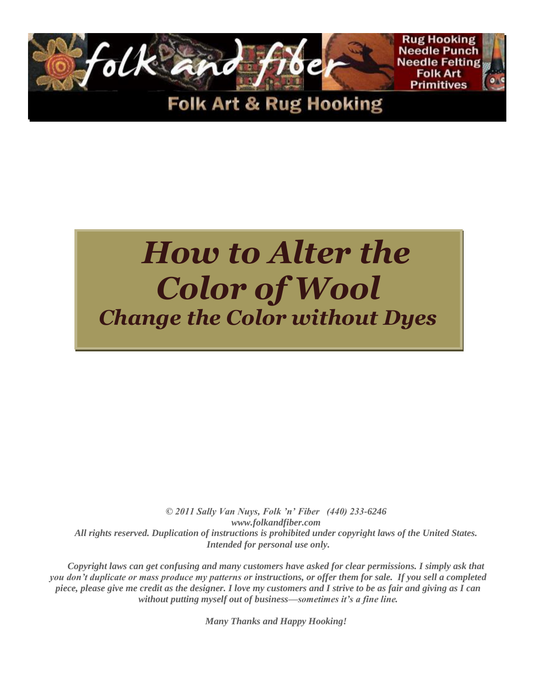

# *How to Alter the Color of Wool Change the Color without Dyes*

*© 2011 Sally Van Nuys, Folk 'n' Fiber (440) 233-6246 www.folkandfiber.com All rights reserved. Duplication of instructions is prohibited under copyright laws of the United States. Intended for personal use only.*

*Copyright laws can get confusing and many customers have asked for clear permissions. I simply ask that you don't duplicate or mass produce my patterns or instructions, or offer them for sale. If you sell a completed piece, please give me credit as the designer. I love my customers and I strive to be as fair and giving as I can without putting myself out of business—sometimes it's a fine line.*

*Many Thanks and Happy Hooking!*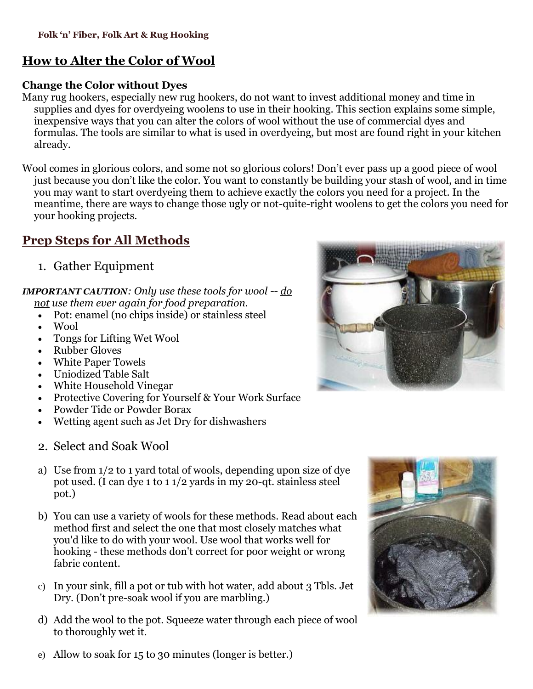# **How to Alter the Color of Wool**

#### **Change the Color without Dyes**

Many rug hookers, especially new rug hookers, do not want to invest additional money and time in supplies and dyes for overdyeing woolens to use in their hooking. This section explains some simple, inexpensive ways that you can alter the colors of wool without the use of commercial dyes and formulas. The tools are similar to what is used in overdyeing, but most are found right in your kitchen already.

Wool comes in glorious colors, and some not so glorious colors! Don't ever pass up a good piece of wool just because you don't like the color. You want to constantly be building your stash of wool, and in time you may want to start overdyeing them to achieve exactly the colors you need for a project. In the meantime, there are ways to change those ugly or not-quite-right woolens to get the colors you need for your hooking projects.

# **Prep Steps for All Methods**

1. Gather Equipment

#### *IMPORTANT CAUTION: Only use these tools for wool -- do not use them ever again for food preparation.*

- Pot: enamel (no chips inside) or stainless steel
- Wool
- Tongs for Lifting Wet Wool
- Rubber Gloves
- White Paper Towels
- Uniodized Table Salt
- White Household Vinegar
- Protective Covering for Yourself & Your Work Surface
- Powder Tide or Powder Borax
- Wetting agent such as Jet Dry for dishwashers
- 2. Select and Soak Wool
- a) Use from 1/2 to 1 yard total of wools, depending upon size of dye pot used. (I can dye 1 to 1 1/2 yards in my 20-qt. stainless steel pot.)
- b) You can use a variety of wools for these methods. Read about each method first and select the one that most closely matches what you'd like to do with your wool. Use wool that works well for hooking - these methods don't correct for poor weight or wrong fabric content.
- c) In your sink, fill a pot or tub with hot water, add about 3 Tbls. Jet Dry. (Don't pre-soak wool if you are marbling.)
- d) Add the wool to the pot. Squeeze water through each piece of wool to thoroughly wet it.





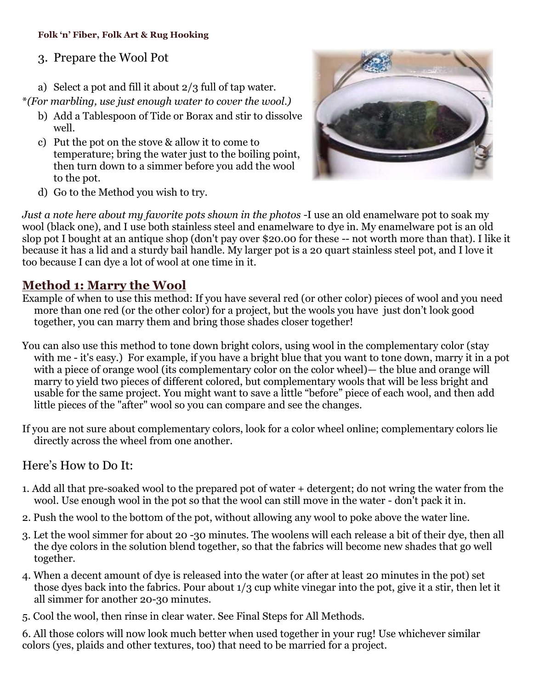#### **Folk 'n' Fiber, Folk Art & Rug Hooking**

#### 3. Prepare the Wool Pot

a) Select a pot and fill it about 2/3 full of tap water.

\**(For marbling, use just enough water to cover the wool.)*

- b) Add a Tablespoon of Tide or Borax and stir to dissolve well.
- c) Put the pot on the stove & allow it to come to temperature; bring the water just to the boiling point, then turn down to a simmer before you add the wool to the pot.



d) Go to the Method you wish to try.

*Just a note here about my favorite pots shown in the photos -*I use an old enamelware pot to soak my wool (black one), and I use both stainless steel and enamelware to dye in. My enamelware pot is an old slop pot I bought at an antique shop (don't pay over \$20.00 for these -- not worth more than that). I like it because it has a lid and a sturdy bail handle. My larger pot is a 20 quart stainless steel pot, and I love it too because I can dye a lot of wool at one time in it.

#### **Method 1: Marry the Wool**

Example of when to use this method: If you have several red (or other color) pieces of wool and you need more than one red (or the other color) for a project, but the wools you have just don't look good together, you can marry them and bring those shades closer together!

You can also use this method to tone down bright colors, using wool in the complementary color (stay with me - it's easy.) For example, if you have a bright blue that you want to tone down, marry it in a pot with a piece of orange wool (its complementary color on the color wheel)— the blue and orange will marry to yield two pieces of different colored, but complementary wools that will be less bright and usable for the same project. You might want to save a little "before" piece of each wool, and then add little pieces of the "after" wool so you can compare and see the changes.

If you are not sure about complementary colors, look for a color wheel online; complementary colors lie directly across the wheel from one another.

#### Here's How to Do It:

- 1. Add all that pre-soaked wool to the prepared pot of water + detergent; do not wring the water from the wool. Use enough wool in the pot so that the wool can still move in the water - don't pack it in.
- 2. Push the wool to the bottom of the pot, without allowing any wool to poke above the water line.
- 3. Let the wool simmer for about 20 -30 minutes. The woolens will each release a bit of their dye, then all the dye colors in the solution blend together, so that the fabrics will become new shades that go well together.
- 4. When a decent amount of dye is released into the water (or after at least 20 minutes in the pot) set those dyes back into the fabrics. Pour about 1/3 cup white vinegar into the pot, give it a stir, then let it all simmer for another 20-30 minutes.
- 5. Cool the wool, then rinse in clear water. See Final Steps for All Methods.

6. All those colors will now look much better when used together in your rug! Use whichever similar colors (yes, plaids and other textures, too) that need to be married for a project.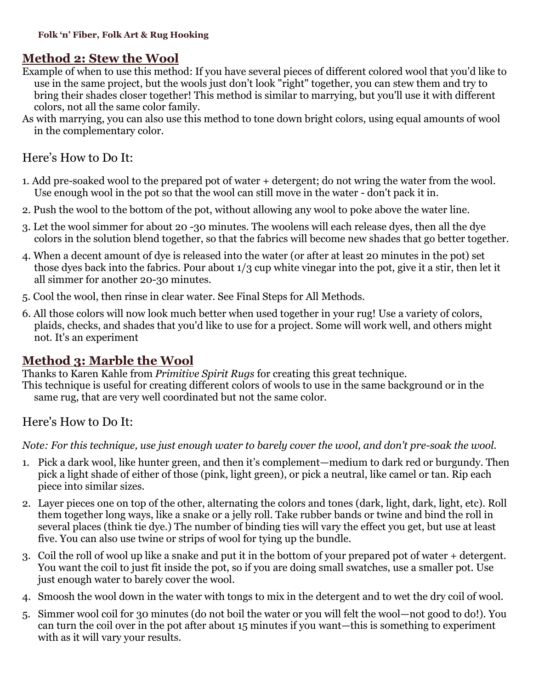# **Method 2: Stew the Wool**

- Example of when to use this method: If you have several pieces of different colored wool that you'd like to use in the same project, but the wools just don't look "right" together, you can stew them and try to bring their shades closer together! This method is similar to marrying, but you'll use it with different colors, not all the same color family.
- As with marrying, you can also use this method to tone down bright colors, using equal amounts of wool in the complementary color.

#### Here's How to Do It:

- 1. Add pre-soaked wool to the prepared pot of water + detergent; do not wring the water from the wool. Use enough wool in the pot so that the wool can still move in the water - don't pack it in.
- 2. Push the wool to the bottom of the pot, without allowing any wool to poke above the water line.
- 3. Let the wool simmer for about 20 -30 minutes. The woolens will each release dyes, then all the dye colors in the solution blend together, so that the fabrics will become new shades that go better together.
- 4. When a decent amount of dye is released into the water (or after at least 20 minutes in the pot) set those dyes back into the fabrics. Pour about 1/3 cup white vinegar into the pot, give it a stir, then let it all simmer for another 20-30 minutes.
- 5. Cool the wool, then rinse in clear water. See Final Steps for All Methods.
- 6. All those colors will now look much better when used together in your rug! Use a variety of colors, plaids, checks, and shades that you'd like to use for a project. Some will work well, and others might not. It's an experiment

#### **Method 3: Marble the Wool**

Thanks to Karen Kahle from *Primitive Spirit Rugs* for creating this great technique.

This technique is useful for creating different colors of wools to use in the same background or in the same rug, that are very well coordinated but not the same color.

#### Here's How to Do It:

*Note: For this technique, use just enough water to barely cover the wool, and don't pre-soak the wool.* 

- 1. Pick a dark wool, like hunter green, and then it's complement—medium to dark red or burgundy. Then pick a light shade of either of those (pink, light green), or pick a neutral, like camel or tan. Rip each piece into similar sizes.
- 2. Layer pieces one on top of the other, alternating the colors and tones (dark, light, dark, light, etc). Roll them together long ways, like a snake or a jelly roll. Take rubber bands or twine and bind the roll in several places (think tie dye.) The number of binding ties will vary the effect you get, but use at least five. You can also use twine or strips of wool for tying up the bundle.
- 3. Coil the roll of wool up like a snake and put it in the bottom of your prepared pot of water + detergent. You want the coil to just fit inside the pot, so if you are doing small swatches, use a smaller pot. Use just enough water to barely cover the wool.
- 4. Smoosh the wool down in the water with tongs to mix in the detergent and to wet the dry coil of wool.
- 5. Simmer wool coil for 30 minutes (do not boil the water or you will felt the wool—not good to do!). You can turn the coil over in the pot after about 15 minutes if you want—this is something to experiment with as it will vary your results.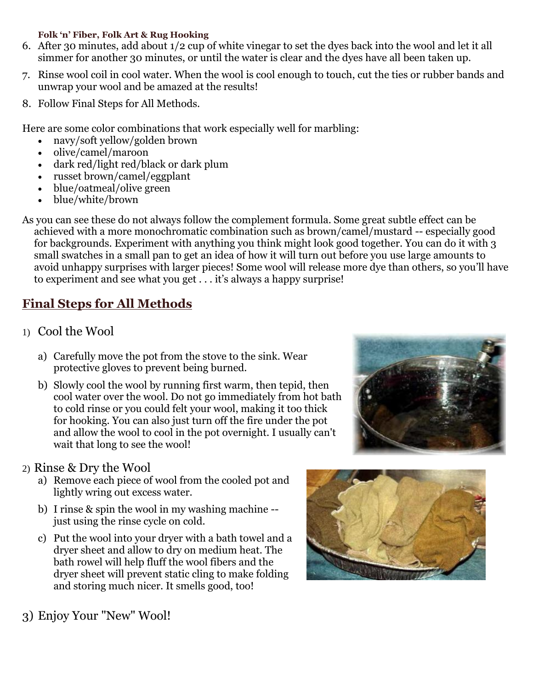#### **Folk 'n' Fiber, Folk Art & Rug Hooking**

- 6. After 30 minutes, add about 1/2 cup of white vinegar to set the dyes back into the wool and let it all simmer for another 30 minutes, or until the water is clear and the dyes have all been taken up.
- 7. Rinse wool coil in cool water. When the wool is cool enough to touch, cut the ties or rubber bands and unwrap your wool and be amazed at the results!
- 8. Follow Final Steps for All Methods.

Here are some color combinations that work especially well for marbling:

- navy/soft yellow/golden brown
- olive/camel/maroon
- dark red/light red/black or dark plum
- russet brown/camel/eggplant
- blue/oatmeal/olive green
- blue/white/brown

As you can see these do not always follow the complement formula. Some great subtle effect can be achieved with a more monochromatic combination such as brown/camel/mustard -- especially good for backgrounds. Experiment with anything you think might look good together. You can do it with 3 small swatches in a small pan to get an idea of how it will turn out before you use large amounts to avoid unhappy surprises with larger pieces! Some wool will release more dye than others, so you'll have to experiment and see what you get . . . it's always a happy surprise!

# **Final Steps for All Methods**

- 1) Cool the Wool
	- a) Carefully move the pot from the stove to the sink. Wear protective gloves to prevent being burned.
	- b) Slowly cool the wool by running first warm, then tepid, then cool water over the wool. Do not go immediately from hot bath to cold rinse or you could felt your wool, making it too thick for hooking. You can also just turn off the fire under the pot and allow the wool to cool in the pot overnight. I usually can't wait that long to see the wool!
- 2) Rinse & Dry the Wool
	- a) Remove each piece of wool from the cooled pot and lightly wring out excess water.
	- b) I rinse & spin the wool in my washing machine just using the rinse cycle on cold.
	- c) Put the wool into your dryer with a bath towel and a dryer sheet and allow to dry on medium heat. The bath rowel will help fluff the wool fibers and the dryer sheet will prevent static cling to make folding and storing much nicer. It smells good, too!





3) Enjoy Your "New" Wool!